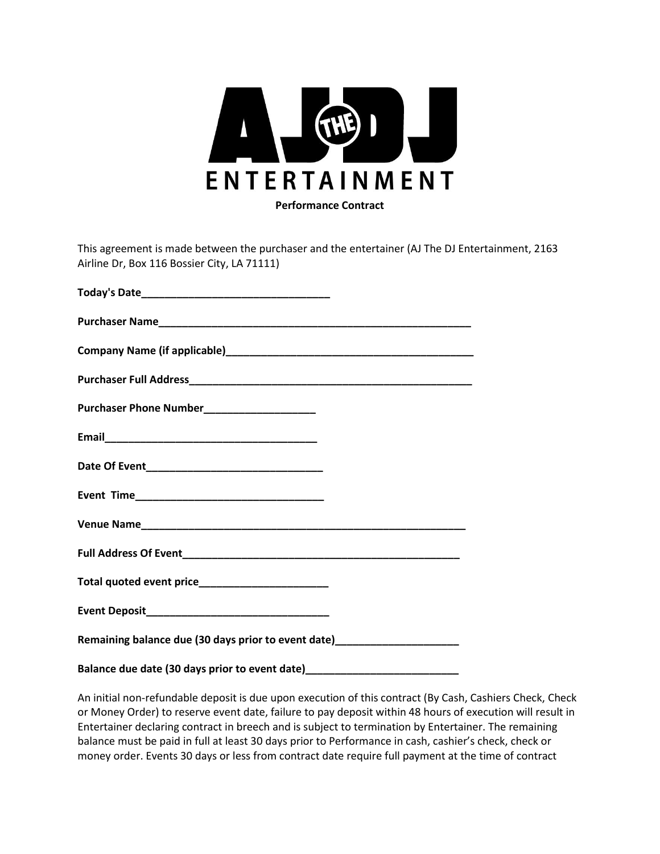

This agreement is made between the purchaser and the entertainer (AJ The DJ Entertainment, 2163 Airline Dr, Box 116 Bossier City, LA 71111)

| Purchaser Phone Number______________________                                     |
|----------------------------------------------------------------------------------|
|                                                                                  |
|                                                                                  |
|                                                                                  |
|                                                                                  |
|                                                                                  |
|                                                                                  |
|                                                                                  |
| Remaining balance due (30 days prior to event date)________________________      |
| Balance due date (30 days prior to event date)__________________________________ |

An initial non-refundable deposit is due upon execution of this contract (By Cash, Cashiers Check, Check or Money Order) to reserve event date, failure to pay deposit within 48 hours of execution will result in Entertainer declaring contract in breech and is subject to termination by Entertainer. The remaining balance must be paid in full at least 30 days prior to Performance in cash, cashier's check, check or money order. Events 30 days or less from contract date require full payment at the time of contract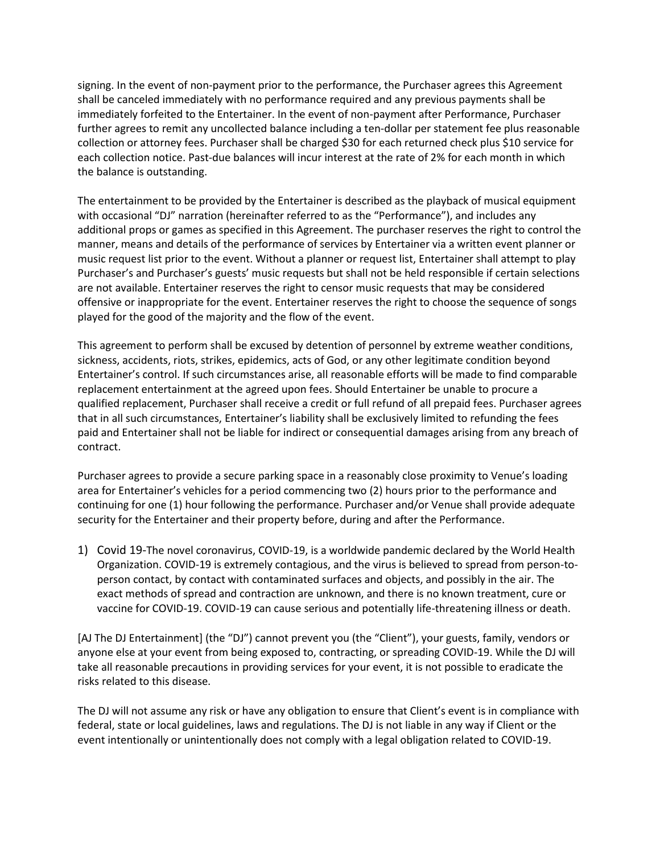signing. In the event of non-payment prior to the performance, the Purchaser agrees this Agreement shall be canceled immediately with no performance required and any previous payments shall be immediately forfeited to the Entertainer. In the event of non-payment after Performance, Purchaser further agrees to remit any uncollected balance including a ten-dollar per statement fee plus reasonable collection or attorney fees. Purchaser shall be charged \$30 for each returned check plus \$10 service for each collection notice. Past-due balances will incur interest at the rate of 2% for each month in which the balance is outstanding.

The entertainment to be provided by the Entertainer is described as the playback of musical equipment with occasional "DJ" narration (hereinafter referred to as the "Performance"), and includes any additional props or games as specified in this Agreement. The purchaser reserves the right to control the manner, means and details of the performance of services by Entertainer via a written event planner or music request list prior to the event. Without a planner or request list, Entertainer shall attempt to play Purchaser's and Purchaser's guests' music requests but shall not be held responsible if certain selections are not available. Entertainer reserves the right to censor music requests that may be considered offensive or inappropriate for the event. Entertainer reserves the right to choose the sequence of songs played for the good of the majority and the flow of the event.

This agreement to perform shall be excused by detention of personnel by extreme weather conditions, sickness, accidents, riots, strikes, epidemics, acts of God, or any other legitimate condition beyond Entertainer's control. If such circumstances arise, all reasonable efforts will be made to find comparable replacement entertainment at the agreed upon fees. Should Entertainer be unable to procure a qualified replacement, Purchaser shall receive a credit or full refund of all prepaid fees. Purchaser agrees that in all such circumstances, Entertainer's liability shall be exclusively limited to refunding the fees paid and Entertainer shall not be liable for indirect or consequential damages arising from any breach of contract.

Purchaser agrees to provide a secure parking space in a reasonably close proximity to Venue's loading area for Entertainer's vehicles for a period commencing two (2) hours prior to the performance and continuing for one (1) hour following the performance. Purchaser and/or Venue shall provide adequate security for the Entertainer and their property before, during and after the Performance.

1) Covid 19-The novel coronavirus, COVID-19, is a worldwide pandemic declared by the World Health Organization. COVID-19 is extremely contagious, and the virus is believed to spread from person-toperson contact, by contact with contaminated surfaces and objects, and possibly in the air. The exact methods of spread and contraction are unknown, and there is no known treatment, cure or vaccine for COVID-19. COVID-19 can cause serious and potentially life-threatening illness or death.

[AJ The DJ Entertainment] (the "DJ") cannot prevent you (the "Client"), your guests, family, vendors or anyone else at your event from being exposed to, contracting, or spreading COVID-19. While the DJ will take all reasonable precautions in providing services for your event, it is not possible to eradicate the risks related to this disease.

The DJ will not assume any risk or have any obligation to ensure that Client's event is in compliance with federal, state or local guidelines, laws and regulations. The DJ is not liable in any way if Client or the event intentionally or unintentionally does not comply with a legal obligation related to COVID-19.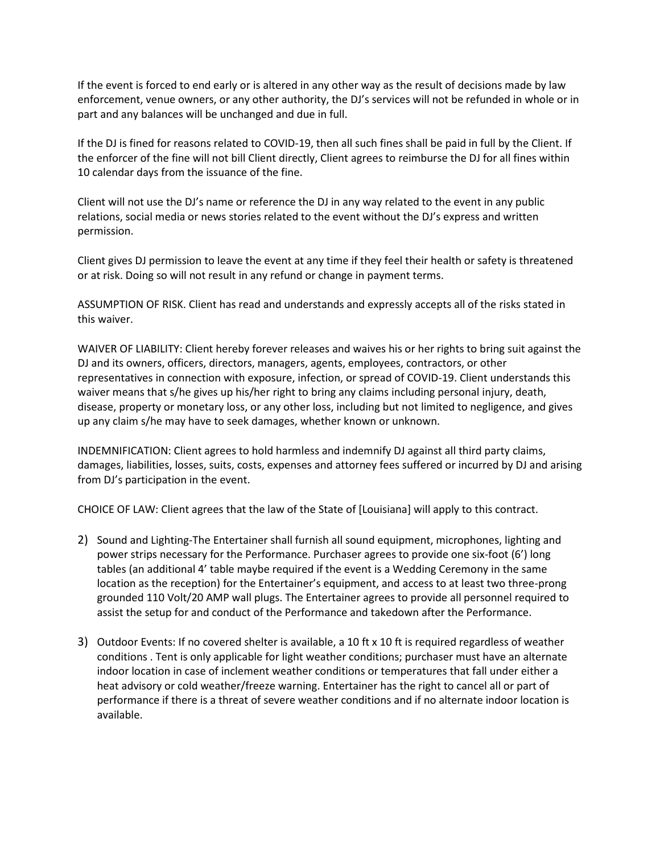If the event is forced to end early or is altered in any other way as the result of decisions made by law enforcement, venue owners, or any other authority, the DJ's services will not be refunded in whole or in part and any balances will be unchanged and due in full.

If the DJ is fined for reasons related to COVID-19, then all such fines shall be paid in full by the Client. If the enforcer of the fine will not bill Client directly, Client agrees to reimburse the DJ for all fines within 10 calendar days from the issuance of the fine.

Client will not use the DJ's name or reference the DJ in any way related to the event in any public relations, social media or news stories related to the event without the DJ's express and written permission.

Client gives DJ permission to leave the event at any time if they feel their health or safety is threatened or at risk. Doing so will not result in any refund or change in payment terms.

ASSUMPTION OF RISK. Client has read and understands and expressly accepts all of the risks stated in this waiver.

WAIVER OF LIABILITY: Client hereby forever releases and waives his or her rights to bring suit against the DJ and its owners, officers, directors, managers, agents, employees, contractors, or other representatives in connection with exposure, infection, or spread of COVID-19. Client understands this waiver means that s/he gives up his/her right to bring any claims including personal injury, death, disease, property or monetary loss, or any other loss, including but not limited to negligence, and gives up any claim s/he may have to seek damages, whether known or unknown.

INDEMNIFICATION: Client agrees to hold harmless and indemnify DJ against all third party claims, damages, liabilities, losses, suits, costs, expenses and attorney fees suffered or incurred by DJ and arising from DJ's participation in the event.

CHOICE OF LAW: Client agrees that the law of the State of [Louisiana] will apply to this contract.

- 2) Sound and Lighting-The Entertainer shall furnish all sound equipment, microphones, lighting and power strips necessary for the Performance. Purchaser agrees to provide one six-foot (6') long tables (an additional 4' table maybe required if the event is a Wedding Ceremony in the same location as the reception) for the Entertainer's equipment, and access to at least two three-prong grounded 110 Volt/20 AMP wall plugs. The Entertainer agrees to provide all personnel required to assist the setup for and conduct of the Performance and takedown after the Performance.
- 3) Outdoor Events: If no covered shelter is available, a 10 ft x 10 ft is required regardless of weather conditions . Tent is only applicable for light weather conditions; purchaser must have an alternate indoor location in case of inclement weather conditions or temperatures that fall under either a heat advisory or cold weather/freeze warning. Entertainer has the right to cancel all or part of performance if there is a threat of severe weather conditions and if no alternate indoor location is available.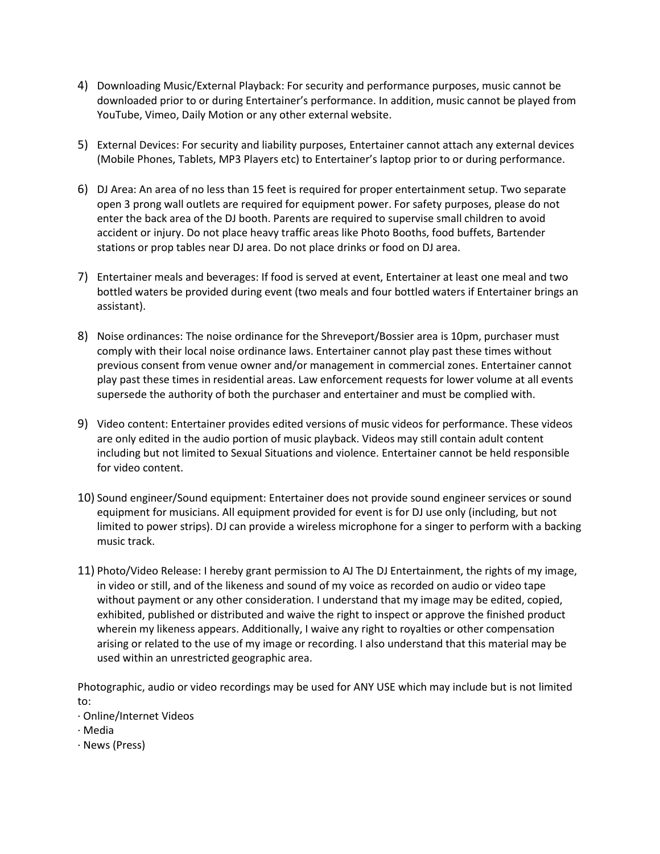- 4) Downloading Music/External Playback: For security and performance purposes, music cannot be downloaded prior to or during Entertainer's performance. In addition, music cannot be played from YouTube, Vimeo, Daily Motion or any other external website.
- 5) External Devices: For security and liability purposes, Entertainer cannot attach any external devices (Mobile Phones, Tablets, MP3 Players etc) to Entertainer's laptop prior to or during performance.
- 6) DJ Area: An area of no less than 15 feet is required for proper entertainment setup. Two separate open 3 prong wall outlets are required for equipment power. For safety purposes, please do not enter the back area of the DJ booth. Parents are required to supervise small children to avoid accident or injury. Do not place heavy traffic areas like Photo Booths, food buffets, Bartender stations or prop tables near DJ area. Do not place drinks or food on DJ area.
- 7) Entertainer meals and beverages: If food is served at event, Entertainer at least one meal and two bottled waters be provided during event (two meals and four bottled waters if Entertainer brings an assistant).
- 8) Noise ordinances: The noise ordinance for the Shreveport/Bossier area is 10pm, purchaser must comply with their local noise ordinance laws. Entertainer cannot play past these times without previous consent from venue owner and/or management in commercial zones. Entertainer cannot play past these times in residential areas. Law enforcement requests for lower volume at all events supersede the authority of both the purchaser and entertainer and must be complied with.
- 9) Video content: Entertainer provides edited versions of music videos for performance. These videos are only edited in the audio portion of music playback. Videos may still contain adult content including but not limited to Sexual Situations and violence. Entertainer cannot be held responsible for video content.
- 10) Sound engineer/Sound equipment: Entertainer does not provide sound engineer services or sound equipment for musicians. All equipment provided for event is for DJ use only (including, but not limited to power strips). DJ can provide a wireless microphone for a singer to perform with a backing music track.
- 11) Photo/Video Release: I hereby grant permission to AJ The DJ Entertainment, the rights of my image, in video or still, and of the likeness and sound of my voice as recorded on audio or video tape without payment or any other consideration. I understand that my image may be edited, copied, exhibited, published or distributed and waive the right to inspect or approve the finished product wherein my likeness appears. Additionally, I waive any right to royalties or other compensation arising or related to the use of my image or recording. I also understand that this material may be used within an unrestricted geographic area.

Photographic, audio or video recordings may be used for ANY USE which may include but is not limited to:

- · Online/Internet Videos
- · Media
- · News (Press)